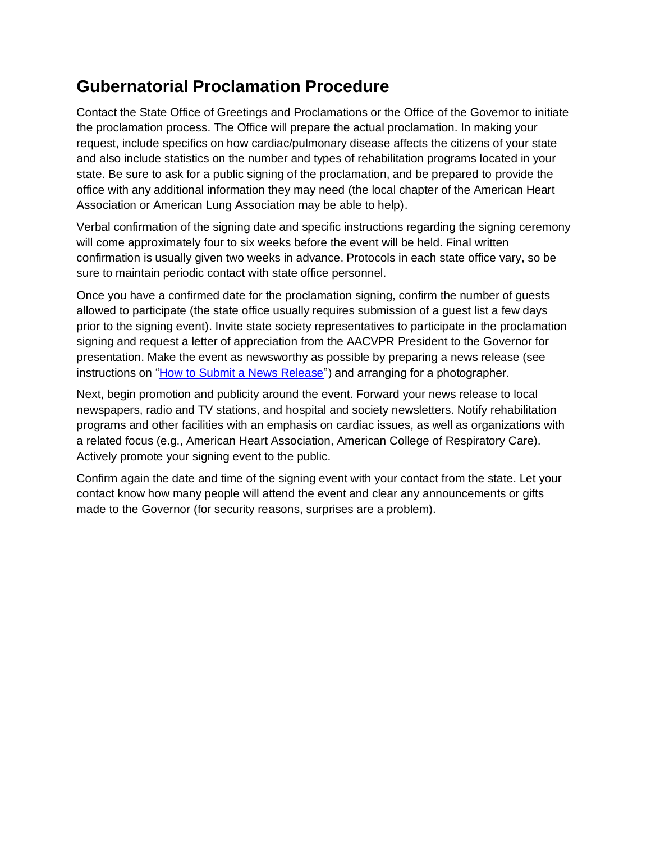## **Gubernatorial Proclamation Procedure**

Contact the State Office of Greetings and Proclamations or the Office of the Governor to initiate the proclamation process. The Office will prepare the actual proclamation. In making your request, include specifics on how cardiac/pulmonary disease affects the citizens of your state and also include statistics on the number and types of rehabilitation programs located in your state. Be sure to ask for a public signing of the proclamation, and be prepared to provide the office with any additional information they may need (the local chapter of the American Heart Association or American Lung Association may be able to help).

Verbal confirmation of the signing date and specific instructions regarding the signing ceremony will come approximately four to six weeks before the event will be held. Final written confirmation is usually given two weeks in advance. Protocols in each state office vary, so be sure to maintain periodic contact with state office personnel.

Once you have a confirmed date for the proclamation signing, confirm the number of guests allowed to participate (the state office usually requires submission of a guest list a few days prior to the signing event). Invite state society representatives to participate in the proclamation signing and request a letter of appreciation from the AACVPR President to the Governor for presentation. Make the event as newsworthy as possible by preparing a news release (see instructions on ["How to Submit a News Release"](https://www.aacvpr.org/LinkClick.aspx?fileticket=64Bqz5k4sBs%3d&portalid=0)) and arranging for a photographer.

Next, begin promotion and publicity around the event. Forward your news release to local newspapers, radio and TV stations, and hospital and society newsletters. Notify rehabilitation programs and other facilities with an emphasis on cardiac issues, as well as organizations with a related focus (e.g., American Heart Association, American College of Respiratory Care). Actively promote your signing event to the public.

Confirm again the date and time of the signing event with your contact from the state. Let your contact know how many people will attend the event and clear any announcements or gifts made to the Governor (for security reasons, surprises are a problem).